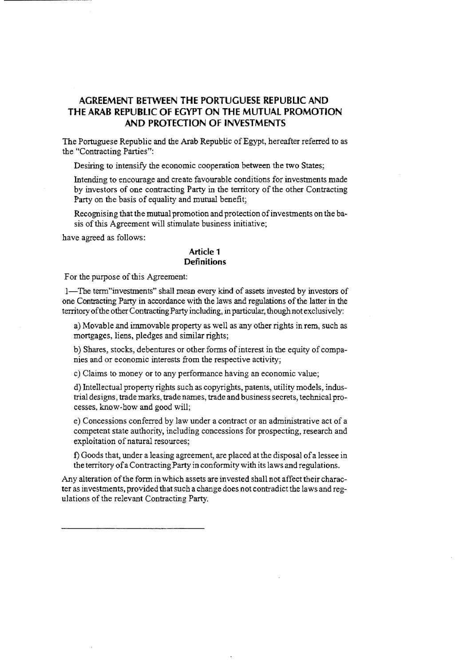# **AGREEMENT BETWEEN THE PORTUGUESE REPUBLIC AND THE ARAB REPUBLIC OF EGYPT ON THE MUTUAL PROMOTION AND PROTECTION OF INVESTMENTS**

The Portuguese Republic and the Arab Republic of Egypt, hereafter referred to as the "Contracting Parties":

Desiring to intensify the economic cooperation between the two States;

Intending to encourage and create favourable conditions for investments made by investors of one contracting Party in the territory of the other Contracting Party on the basis of equality and mutual benefit;

Recognising that the mutual promotion and protection of investments on the basis of this Agreement will stimulate business initiative;

have agreed as follows:

#### **Article 1 Definitions**

For the purpose of this Agreement:

1-The term"investments" shall mean every kind of assets invested by investors of one Contracting Party in accordance with the laws and regulations of the latter in the territory of the other Contracting Party including, in particular, though not exclusively:

a) Movable and immovable property as well as any other rights in rem, such as mortgages, liens, pledges and similar rights;

b) Shares, stocks, debentures or other forms of interest in the equity of companies and or economic interests from the respective activity;

c) Claims to money or to any performance having an economic value;

d) Intellectual property rights such as copyrights, patents, utility models, industrial designs, trade marks, trade names, trade and business secrets, technical processes, know-how and good will;

e) Concessions conferred by law under a contract or an administrative act of a competent state authority, including concessions for prospecting, research and exploitation of natural resources;

1) Goods that, under a leasing agreement, are placed at the disposal of a lessee in the territory of a Contracting Party in conformity with its laws and regulations.

Any alteration of the form in which assets are invested shall not affect their character as investments, provided that such a change does not contradict the laws and regulations of the relevant Contracting Party.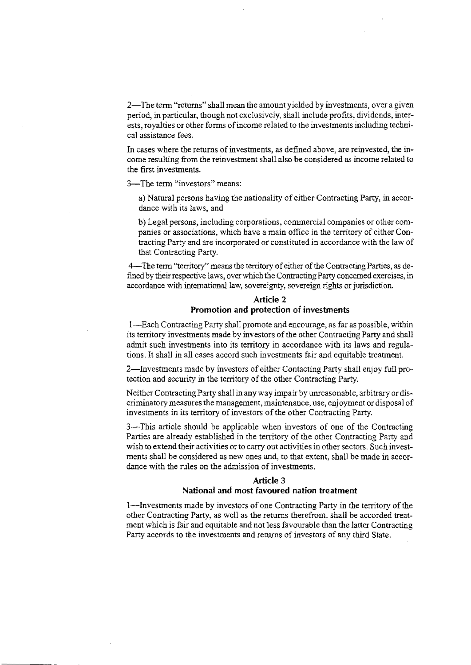2-The term "returns" shall mean the amount yielded by investments, over a given period, in particular, though not exclusively, shall include profits, dividends, interests, royalties or other forms of income related to the investments induding technical assistance fees.

**In** cases where the returns of investments, as defined above, are reinvested, the income resulting from the reinvestment shall also be considered as income related to the first investments.

3-The term "investors" means:

a) Natural persons having the nationality of either Contracting Party, in accordance with its laws, and

b) Legal persons, including corporations, commercial companies or other companies or associations, which have a main office in the territory of either Contracting Party and are incorporated or constituted in accordance with the law of that Contracting Party.

4-The term "territory" means the territory of either of the Contracting Parties, as defmed by their respective laws, over which the Contracting Party concerned exercises, in accordance with international law, sovereignty, sovereign rights or jurisdiction.

# **Article 2 Promotion and protection of investments**

I-Each Contracting Party shall promote and encourage, as far as possible, within its territory investments made by investors of the other Contracting Party and shall admit such investments into its territory in accordance with its laws and regulations. It shall in all cases accord such investments fair and equitable treatment.

2-Investments made by investors of either Contacting Party shall enjoy full protection and security in the territory of the other Contracting Party.

Neither Contracting Party shall in anyway impair by unreasonable, arbitrary or discriminatory measures the management, maintenance, use, enjoyment or disposal of investments in its territory of investors of the other Contracting Party.

3-This article should be applicable when investors of one of the Contracting Parties are already established in the territory of the other Contracting Party and wish to extend their activities or to carry out activities in other sectors. Such investments shall be considered as new ones and, to that extent, shall be made in accordance with the rules on the admission of investments.

## **Article 3 National and most favoured nation treatment**

I-Investments made by investors of one Contracting Party in the territory of the other Contracting Party, as well as the returns therefrom, shall be accorded treatment which is fair and equitable and not less favourable than the latter Contracting Party accords to the investments and returns of investors of any third State.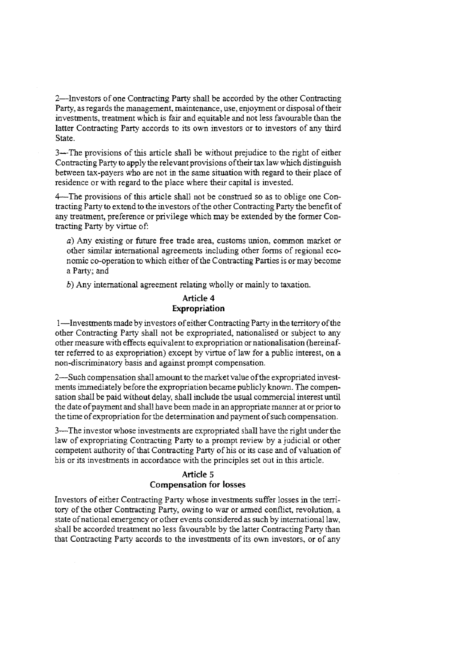2-Investors of one Contracting Party shall be accorded by the other Contracting Party, as regards the management, maintenance, use, enjoyment or disposal of their investments, treatment which is fair and equitable and not less favourable than the latter Contracting Party accords to its own investors or to investors of any third State.

3-The provisions of this article shall be without prejudice to the right of either Contracting Party to apply the relevant provisions of their tax law which distinguish between tax-payers who are not in the same situation with regard to their place of residence or with regard to the place where their capital is invested.

4--The provisions of this article shall not be construed so as to oblige one Contracting Party to extend to the investors ofthe other Contracting Party the benefit of any treatment, preference or privilege which may be extended by the fonner Contracting Party by virtue of:

a) Any existing or future free trade area, customs union, common market or other similar international agreements including other fonns of regional economic co-operation to which either of the Contracting Parties is or may become a Party; and

b) Any international agreement relating wholly or mainly to taxation.

### Article 4 Expropriation

I-Investments made by investors of either Contracting Party in the territory of the other Contracting Party shall not be expropriated, nationalised or subject to any other measure with effects equivalent to expropriation ornationalisation (hereinafter referred to as expropriation) except by virtue oflaw for a public interest, on a non-discriminatory basis and against prompt compensation.

2-Such compensation shall amount to the market value of the expropriated investments immediately before the expropriation became publicly known. The compensation shall be paid without delay, shall include the usual commercial interest until the date of payment and shall have been made in an appropriate manner at or prior to the time of expropriation for the detennination and payment of such compensation.

3-The investor whose investments are expropriated shall have the right under the law of expropriating Contracting Party to a prompt review by a judicial or other competent authority of that Contracting Party of his or its case and of valuation of his or its investments in accordance with the principles set out in this article.

## Article 5 Compensation for losses

Investors of either Contracting Party whose investments suffer losses in the territory of the other Contracting Party, owing to war or armed conflict, revolution, a state of national emergency or other events considered as such by international law, shall be accorded treatment no less favourable by the latter Contracting Party than that Contracting Party accords to the investments of its own investors, or of any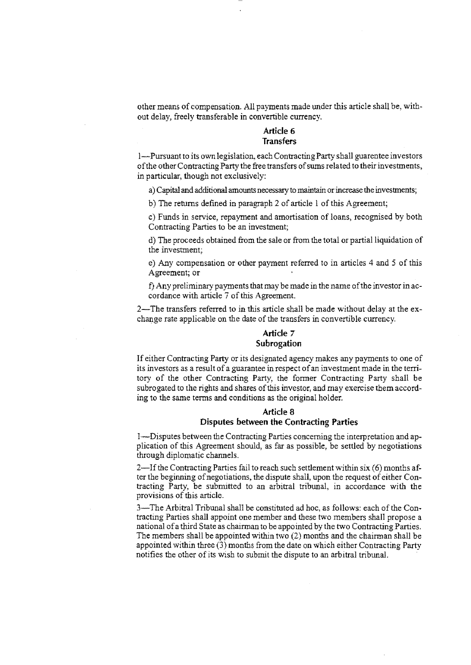other means of compensation. All payments made under this article shall be, without delay, freely transferable in convertible currency.

# Article 6 **Transfers**

I-Pursuant to its ovmlegislation, each Contracting Party shall guarentee investors of the other Contracting Party the free transfers of sums related to their investments, in particular, though not exclusively:

a) Capital and additional amounts necessary to maintain or increase the investments;

b) The returns defined in paragraph 2 of article I of this Agreement;

c) Funds in service, repayment and amortisation of loans, recognised by both Contracting Parties to be an investment;

d) The proceeds obtained from the sale or from the total or partial liquidation of the investment;

e) Any compensation or other payment referred to in articles 4 and 5 of this Agreement; or

f) Any preliminary payments that may be made in the name of the investor in accordance with article 7 of this Agreement.

2-The transfers referred to in this article shall be made without delay at the exchange rate applicable on the date of the transfers in convertible currency.

#### **Article** 7 **Subrogation**

If either Contracting Party or its designated agency makes any payments to one of its investors as a result of a guarantee in respect of an investment made in the territory of the other Contracting Party, the former Contracting Party shall be subrogated to the rights and shares of this investor, and may exercise them according to the same terms and conditions as the original holder.

## **Article** 8 **Disputes between the Contracting Parties**

I-Disputes between the Contracting Parties concerning the interpretation and application of this Agreement should, as far as possible, be settled by negotiations through diplomatic channels.

2-If the Contracting Parties fail to reach such settlement within six (6) months after the beginning of negotiations, the dispute shall, upon the request of either Contracting Party, be submitted to an arbitral tribunal, in accordance with the provisions of this article.

3-The Arbitral Tribunal shall be constituted ad hoc, as follows: each of the Contracting Parties shall appoint one member and these two members shall propose a national of a third State as chairman to be appointed by the two Contracting Parties. The members shall be appointed within two (2) months and the chairman shall be appointed within three  $(3)$  months from the date on which either Contracting Party notifies the other of its wish to submit the dispute to an arbitral tribunal.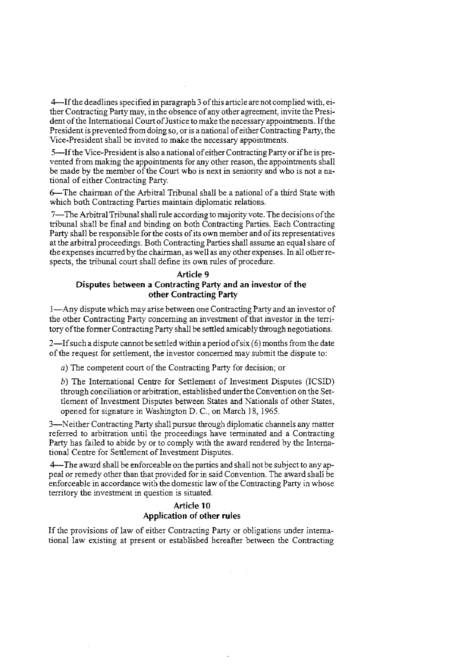4-Ifthe deadlines specified in paragraph 3 of this article are not complied with, either Contracting Party may, in the obsence of any other agreement, invite the President of the International Court of Justice to make the necessary appointments. If the President is prevented from doing so, or is a national of either Contracting Party, the Vice-President shall be invited to make the necessary appointments.

5-Ifthe Vice-President is also a national of either Contracting Party or if he is prevented from making the appointments for any other reason, the appointments shall be made by the member of the Court who is next in seniority and who is not a national of either Contracting Party.

6-The chairman of the Arbitral Tribunal shall be a national of a third State with which both Contracting Parties maintain diplomatic relations.

7-The Arbitral Tribunal shall rule according to majority vote. The decisions of the tribunal shall be final and binding on both Contracting Parties. Each Contracting Party shall be responsible for the costs of its own member and of its representatives at the arbitral proceedings. Both Contracting Parties shall assume an equal share of the expenses incurred by the chairman, as well as any other expenses. In all other respects, the tribunal court shall define its own rules of procedure.

## **Article 9 Disputes between a Contracting Party and an investor of the other Contracting Party**

I-Any dispute which may arise between one Contracting Party and an investor of the other Contracting Party concerning an investment of that investor in the territory of the former Contracting Party shall be settled amicably through negotiations.

2—If such a dispute cannot be settled within a period of  $six(6)$  months from the date of the request for settlement, the investor concerned may submit the dispute to:

*a)* The competent court of the Contracting Party for decision; or

*b)* The International Centre for Settlement of Investment Disputes *(ICSlD)*  through conciliation or arbitration, established under the Convention on the Settlement of Investment Disputes between States and Nationals of other States, opened for signature in Washington D. C., on March 18, 1965.

3-Neither Contracting Party shall pursue through diplomatic channels any matter referred to arbitration until the proceedings have terminated and a Contracting Party has failed to abide by or to comply with the award rendered by the International Centre for Settlement of Investment Disputes.

4-The award shall be enforceable on the parties and shall not be subject to any appeal or remedy other than that provided for in said Convention. The award shall be enforceable in accordance with the domestic law of the Contracting Party in whose territory the investment in question is situated.

# **Article 10 Application of other rules**

If the provisions of law of either Contracting Party or obligations under internationallaw existing at present or established hereafter between the Contracting